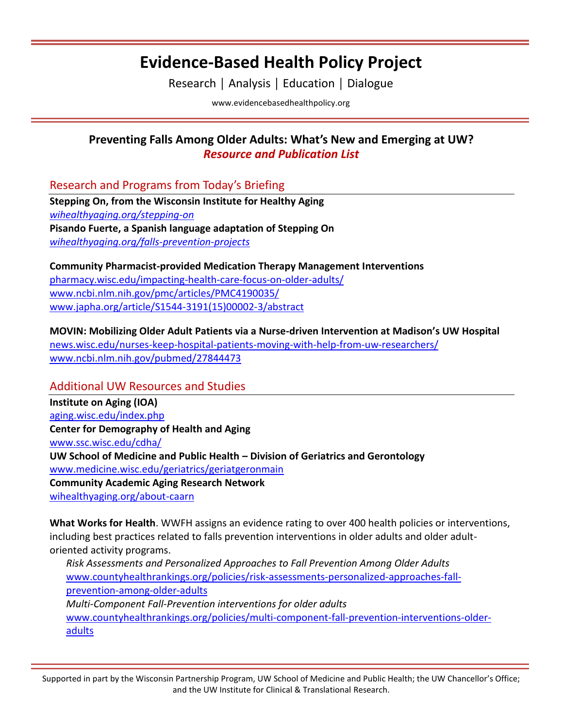## **Evidence-Based Health Policy Project**

Research │ Analysis │ Education │ Dialogue

[www.evidencebasedhealthpolicy.org](file:///C:/Users/randrae/Downloads/www.evidencebasedhealthpolicy.org)

## **Preventing Falls Among Older Adults: What's New and Emerging at UW?** *Resource and Publication List*

Research and Programs from Today's Briefing

**Stepping On, from the Wisconsin Institute for Healthy Aging** *[wihealthyaging.org/stepping-on](https://wihealthyaging.org/stepping-on)* **Pisando Fuerte, a Spanish language adaptation of Stepping On** *[wihealthyaging.org/falls-prevention-projects](https://wihealthyaging.org/falls-prevention-projects)*

**Community Pharmacist-provided Medication Therapy Management Interventions** [pharmacy.wisc.edu/impacting-health-care-focus-on-older-adults/](https://pharmacy.wisc.edu/impacting-health-care-focus-on-older-adults/) [www.ncbi.nlm.nih.gov/pmc/articles/PMC4190035/](http://www.ncbi.nlm.nih.gov/pmc/articles/PMC4190035/) [www.japha.org/article/S1544-3191\(15\)00002-3/abstract](http://www.japha.org/article/S1544-3191(15)00002-3/abstract)

**MOVIN: Mobilizing Older Adult Patients via a Nurse-driven Intervention at Madison's UW Hospital** [news.wisc.edu/nurses-keep-hospital-patients-moving-with-help-from-uw-researchers/](http://news.wisc.edu/nurses-keep-hospital-patients-moving-with-help-from-uw-researchers/) [www.ncbi.nlm.nih.gov/pubmed/27844473](http://www.ncbi.nlm.nih.gov/pubmed/27844473)

### Additional UW Resources and Studies

**Institute on Aging (IOA)** [aging.wisc.edu/index.php](http://aging.wisc.edu/index.php) **Center for Demography of Health and Aging** [www.ssc.wisc.edu/cdha/](http://www.ssc.wisc.edu/cdha/) **UW School of Medicine and Public Health – Division of Geriatrics and Gerontology** [www.medicine.wisc.edu/geriatrics/geriatgeronmain](http://www.medicine.wisc.edu/geriatrics/geriatgeronmain) **Community Academic Aging Research Network** [wihealthyaging.org/about-caarn](https://wihealthyaging.org/about-caarn)

**What Works for Health**. WWFH assigns an evidence rating to over 400 health policies or interventions, including best practices related to falls prevention interventions in older adults and older adultoriented activity programs.

*Risk Assessments and Personalized Approaches to Fall Prevention Among Older Adults* [www.countyhealthrankings.org/policies/risk-assessments-personalized-approaches-fall](http://www.countyhealthrankings.org/policies/risk-assessments-personalized-approaches-fall-prevention-among-older-adults)[prevention-among-older-adults](http://www.countyhealthrankings.org/policies/risk-assessments-personalized-approaches-fall-prevention-among-older-adults) *Multi-Component Fall-Prevention interventions for older adults* [www.countyhealthrankings.org/policies/multi-component-fall-prevention-interventions-older](http://www.countyhealthrankings.org/policies/multi-component-fall-prevention-interventions-older-adults)[adults](http://www.countyhealthrankings.org/policies/multi-component-fall-prevention-interventions-older-adults)

Supported in part by the Wisconsin Partnership Program, UW School of Medicine and Public Health; the UW Chancellor's Office; and the UW Institute for Clinical & Translational Research.